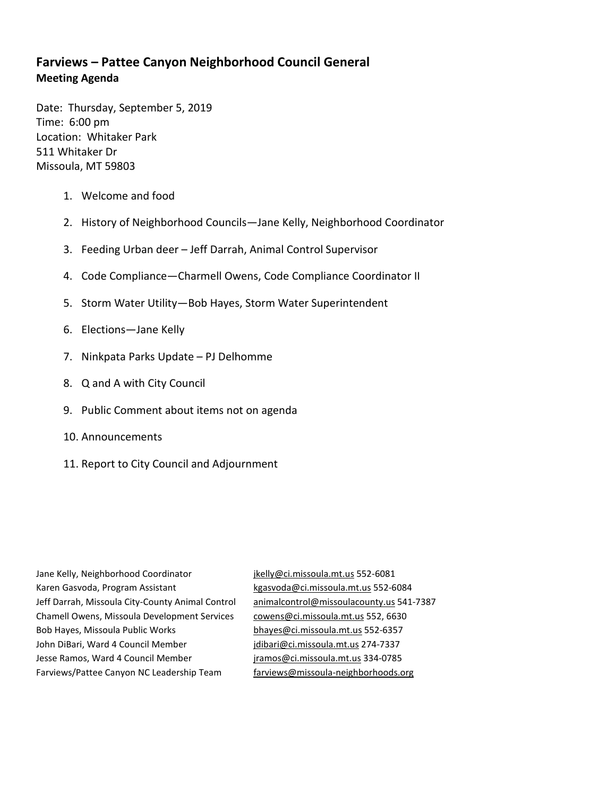## **Farviews – Pattee Canyon Neighborhood Council General Meeting Agenda**

Date: Thursday, September 5, 2019 Time: 6:00 pm Location: Whitaker Park 511 Whitaker Dr Missoula, MT 59803

- 1. Welcome and food
- 2. History of Neighborhood Councils—Jane Kelly, Neighborhood Coordinator
- 3. Feeding Urban deer Jeff Darrah, Animal Control Supervisor
- 4. Code Compliance—Charmell Owens, Code Compliance Coordinator II
- 5. Storm Water Utility—Bob Hayes, Storm Water Superintendent
- 6. Elections—Jane Kelly
- 7. Ninkpata Parks Update PJ Delhomme
- 8. Q and A with City Council
- 9. Public Comment about items not on agenda
- 10. Announcements
- 11. Report to City Council and Adjournment

Jane Kelly, Neighborhood Coordinator [jkelly@ci.missoula.mt.us](mailto:jkelly@ci.missoula.mt.us) 552-6081 Karen Gasvoda, Program Assistant [kgasvoda@ci.missoula.mt.us](mailto:kgasvoda@ci.missoula.mt.us) 552-6084 Jeff Darrah, Missoula City-County Animal Control [animalcontrol@missoulacounty.us](mailto:animalcontrol@missoulacounty.us) 541-7387 Chamell Owens, Missoula Development Services [cowens@ci.missoula.mt.us](mailto:cowens@ci.missoula.mt.us) 552, 6630 Bob Hayes, Missoula Public Works [bhayes@ci.missoula.mt.us](mailto:bhayes@ci.missoula.mt.us) 552-6357 John DiBari, Ward 4 Council Member [jdibari@ci.missoula.mt.us](mailto:jdibari@ci.missoula.mt.us) 274-7337 Jesse Ramos, Ward 4 Council Member [jramos@ci.missoula.mt.us](mailto:jramos@ci.missoula.mt.us) 334-0785 Farviews/Pattee Canyon NC Leadership Team [farviews@missoula-neighborhoods.org](mailto:farviews@missoula-neighborhoods.org)